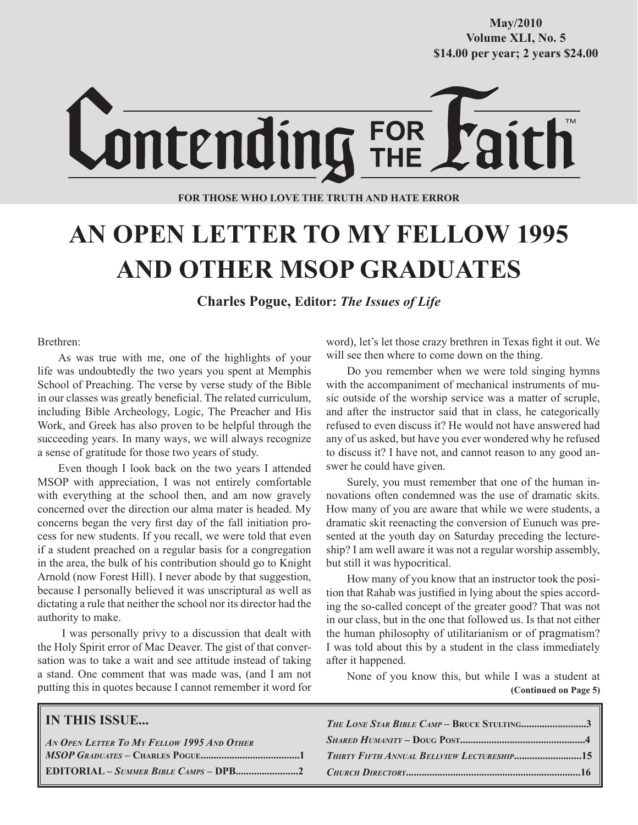**October/2007 Volume XLI, No. 5 Volume XXXVIII, No. 10 \$14.00 per year; 2 years \$24.00 \$14.00 per year; 2 years \$24.00 May/2010**



**FOR THOSE WHO LOVE THE TRUTH AND HATE ERROR**

# **AN OPEN LETTER TO MY FELLOW 1995 AND OTHER MSOP GRADUATES**

**Charles Pogue, Editor:** *The Issues of Life*

#### Brethren:

As was true with me, one of the highlights of your life was undoubtedly the two years you spent at Memphis School of Preaching. The verse by verse study of the Bible in our classes was greatly beneficial. The related curriculum, including Bible Archeology, Logic, The Preacher and His Work, and Greek has also proven to be helpful through the succeeding years. In many ways, we will always recognize a sense of gratitude for those two years of study.

Even though I look back on the two years I attended MSOP with appreciation, I was not entirely comfortable with everything at the school then, and am now gravely concerned over the direction our alma mater is headed. My concerns began the very first day of the fall initiation process for new students. If you recall, we were told that even if a student preached on a regular basis for a congregation in the area, the bulk of his contribution should go to Knight Arnold (now Forest Hill). I never abode by that suggestion, because I personally believed it was unscriptural as well as dictating a rule that neither the school nor its director had the authority to make.

 I was personally privy to a discussion that dealt with the Holy Spirit error of Mac Deaver. The gist of that conversation was to take a wait and see attitude instead of taking a stand. One comment that was made was, (and I am not putting this in quotes because I cannot remember it word for word), let's let those crazy brethren in Texas fight it out. We will see then where to come down on the thing.

Do you remember when we were told singing hymns with the accompaniment of mechanical instruments of music outside of the worship service was a matter of scruple, and after the instructor said that in class, he categorically refused to even discuss it? He would not have answered had any of us asked, but have you ever wondered why he refused to discuss it? I have not, and cannot reason to any good answer he could have given.

Surely, you must remember that one of the human innovations often condemned was the use of dramatic skits. How many of you are aware that while we were students, a dramatic skit reenacting the conversion of Eunuch was presented at the youth day on Saturday preceding the lectureship? I am well aware it was not a regular worship assembly, but still it was hypocritical.

How many of you know that an instructor took the position that Rahab was justified in lying about the spies according the so-called concept of the greater good? That was not in our class, but in the one that followed us. Is that not either the human philosophy of utilitarianism or of pragmatism? I was told about this by a student in the class immediately after it happened.

 **(Continued on Page 5)** None of you know this, but while I was a student at

| <b>IN THIS ISSUE</b>                                           | THE LONE STAR BIBLE CAMP - BRUCE STULTING3 |
|----------------------------------------------------------------|--------------------------------------------|
| $\mid$ An Open Letter To My Fellow 1995 And Other              |                                            |
|                                                                |                                            |
| $[EDITORIAL-Summer Bible Camps-DPB2 \qquad CHurCH DIRECTORY16$ |                                            |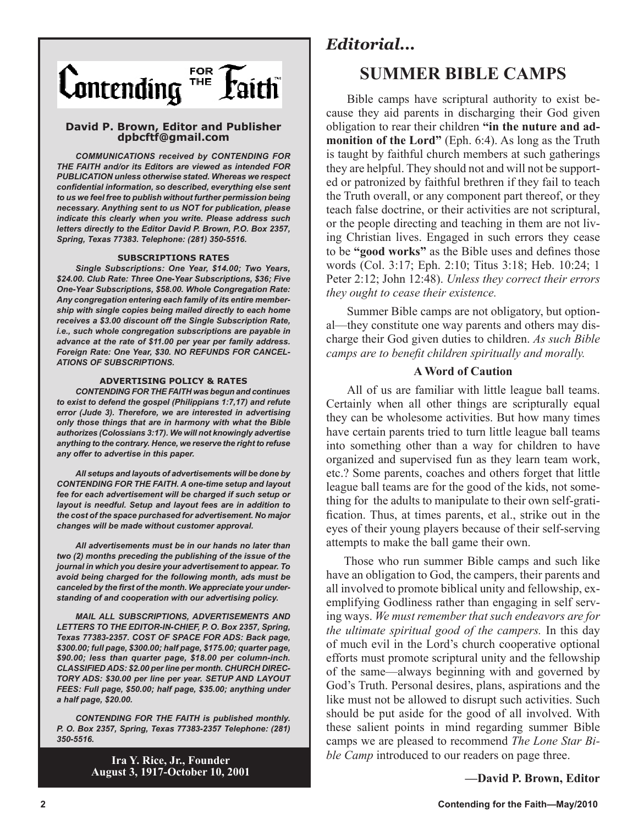

#### **David P. Brown, Editor and Publisher dpbcftf@gmail.com**

*COMMUNICATIONS received by CONTENDING FOR THE FAITH and/or its Editors are viewed as intended FOR PUBLICATION unless otherwise stated. Whereas we respect confidential information, so described, everything else sent to us we feel free to publish without further permission being necessary. Anything sent to us NOT for publication, please indicate this clearly when you write. Please address such letters directly to the Editor David P. Brown, P.O. Box 2357, Spring, Texas 77383. Telephone: (281) 350-5516.*

#### **SUBSCRIPTIONS RATES**

*Single Subscriptions: One Year, \$14.00; Two Years, \$24.00. Club Rate: Three One-Year Subscriptions, \$36; Five One-Year Subscriptions, \$58.00. Whole Congregation Rate: Any congregation entering each family of its entire membership with single copies being mailed directly to each home receives a \$3.00 discount off the Single Subscription Rate, i.e., such whole congregation subscriptions are payable in advance at the rate of \$11.00 per year per family address. Foreign Rate: One Year, \$30. NO REFUNDS FOR CANCEL-ATIONS OF SUBSCRIPTIONS.*

#### **ADVERTISING POLICY & RATES**

*CONTENDING FOR THE FAITH was begun and continues to exist to defend the gospel (Philippians 1:7,17) and refute error (Jude 3). Therefore, we are interested in advertising only those things that are in harmony with what the Bible authorizes (Colossians 3:17). We will not knowingly advertise anything to the contrary. Hence, we reserve the right to refuse any offer to advertise in this paper.*

*All setups and layouts of advertisements will be done by CONTENDING FOR THE FAITH. A one-time setup and layout fee for each advertisement will be charged if such setup or layout is needful. Setup and layout fees are in addition to the cost of the space purchased for advertisement. No major changes will be made without customer approval.*

*All advertisements must be in our hands no later than two (2) months preceding the publishing of the issue of the journal in which you desire your advertisement to appear. To avoid being charged for the following month, ads must be canceled by the first of the month. We appreciate your understanding of and cooperation with our advertising policy.*

*MAIL ALL SUBSCRIPTIONS, ADVERTISEMENTS AND LETTERS TO THE EDITOR-IN-CHIEF, P. O. Box 2357, Spring, Texas 77383-2357. COST OF SPACE FOR ADS: Back page, \$300.00; full page, \$300.00; half page, \$175.00; quarter page, \$90.00; less than quarter page, \$18.00 per column-inch. CLASSIFIED ADS: \$2.00 per line per month. CHURCH DIREC-TORY ADS: \$30.00 per line per year. SETUP AND LAYOUT FEES: Full page, \$50.00; half page, \$35.00; anything under a half page, \$20.00.*

*CONTENDING FOR THE FAITH is published monthly. P. O. Box 2357, Spring, Texas 77383-2357 Telephone: (281) 350-5516.*

> **Ira Y. Rice, Jr., Founder August 3, 1917-October 10, 2001**

# *Editorial...*

# **SUMMER BIBLE CAMPS**

Bible camps have scriptural authority to exist because they aid parents in discharging their God given obligation to rear their children **"in the nuture and admonition of the Lord"** (Eph. 6:4). As long as the Truth is taught by faithful church members at such gatherings they are helpful. They should not and will not be supported or patronized by faithful brethren if they fail to teach the Truth overall, or any component part thereof, or they teach false doctrine, or their activities are not scriptural, or the people directing and teaching in them are not living Christian lives. Engaged in such errors they cease to be **"good works"** as the Bible uses and defines those words (Col. 3:17; Eph. 2:10; Titus 3:18; Heb. 10:24; 1 Peter 2:12; John 12:48). *Unless they correct their errors they ought to cease their existence.*

Summer Bible camps are not obligatory, but optional—they constitute one way parents and others may discharge their God given duties to children. *As such Bible camps are to benefit children spiritually and morally.* 

## **A Word of Caution**

All of us are familiar with little league ball teams. Certainly when all other things are scripturally equal they can be wholesome activities. But how many times have certain parents tried to turn little league ball teams into something other than a way for children to have organized and supervised fun as they learn team work, etc.? Some parents, coaches and others forget that little league ball teams are for the good of the kids, not something for the adults to manipulate to their own self-gratification. Thus, at times parents, et al., strike out in the eyes of their young players because of their self-serving attempts to make the ball game their own.

Those who run summer Bible camps and such like have an obligation to God, the campers, their parents and all involved to promote biblical unity and fellowship, exemplifying Godliness rather than engaging in self serving ways. *We must remember that such endeavors are for the ultimate spiritual good of the campers.* In this day of much evil in the Lord's church cooperative optional efforts must promote scriptural unity and the fellowship of the same—always beginning with and governed by God's Truth. Personal desires, plans, aspirations and the like must not be allowed to disrupt such activities. Such should be put aside for the good of all involved. With these salient points in mind regarding summer Bible camps we are pleased to recommend *The Lone Star Bible Camp* introduced to our readers on page three.

**—David P. Brown, Editor**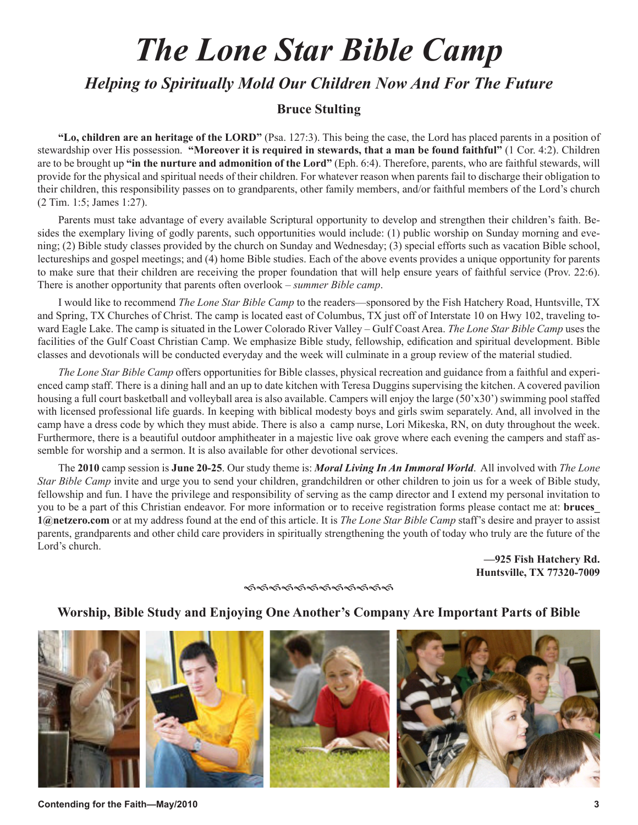# *The Lone Star Bible Camp*

*Helping to Spiritually Mold Our Children Now And For The Future*

# **Bruce Stulting**

**"Lo, children are an heritage of the LORD"** (Psa. 127:3). This being the case, the Lord has placed parents in a position of stewardship over His possession. **"Moreover it is required in stewards, that a man be found faithful"** (1 Cor. 4:2). Children are to be brought up **"in the nurture and admonition of the Lord"** (Eph. 6:4). Therefore, parents, who are faithful stewards, will provide for the physical and spiritual needs of their children. For whatever reason when parents fail to discharge their obligation to their children, this responsibility passes on to grandparents, other family members, and/or faithful members of the Lord's church (2 Tim. 1:5; James 1:27).

Parents must take advantage of every available Scriptural opportunity to develop and strengthen their children's faith. Besides the exemplary living of godly parents, such opportunities would include: (1) public worship on Sunday morning and evening; (2) Bible study classes provided by the church on Sunday and Wednesday; (3) special efforts such as vacation Bible school, lectureships and gospel meetings; and (4) home Bible studies. Each of the above events provides a unique opportunity for parents to make sure that their children are receiving the proper foundation that will help ensure years of faithful service (Prov. 22:6). There is another opportunity that parents often overlook – *summer Bible camp*.

I would like to recommend *The Lone Star Bible Camp* to the readers—sponsored by the Fish Hatchery Road, Huntsville, TX and Spring, TX Churches of Christ. The camp is located east of Columbus, TX just off of Interstate 10 on Hwy 102, traveling toward Eagle Lake. The camp is situated in the Lower Colorado River Valley – Gulf Coast Area. *The Lone Star Bible Camp* uses the facilities of the Gulf Coast Christian Camp. We emphasize Bible study, fellowship, edification and spiritual development. Bible classes and devotionals will be conducted everyday and the week will culminate in a group review of the material studied.

*The Lone Star Bible Camp* offers opportunities for Bible classes, physical recreation and guidance from a faithful and experienced camp staff. There is a dining hall and an up to date kitchen with Teresa Duggins supervising the kitchen. A covered pavilion housing a full court basketball and volleyball area is also available. Campers will enjoy the large (50'x30') swimming pool staffed with licensed professional life guards. In keeping with biblical modesty boys and girls swim separately. And, all involved in the camp have a dress code by which they must abide. There is also a camp nurse, Lori Mikeska, RN, on duty throughout the week. Furthermore, there is a beautiful outdoor amphitheater in a majestic live oak grove where each evening the campers and staff assemble for worship and a sermon. It is also available for other devotional services.

The **2010** camp session is **June 20-25**. Our study theme is: *Moral Living In An Immoral World*. All involved with *The Lone Star Bible Camp* invite and urge you to send your children, grandchildren or other children to join us for a week of Bible study, fellowship and fun. I have the privilege and responsibility of serving as the camp director and I extend my personal invitation to you to be a part of this Christian endeavor. For more information or to receive registration forms please contact me at: **bruces\_ 1@netzero.com** or at my address found at the end of this article. It is *The Lone Star Bible Camp* staff's desire and prayer to assist parents, grandparents and other child care providers in spiritually strengthening the youth of today who truly are the future of the Lord's church.

> **—925 Fish Hatchery Rd. Huntsville, TX 77320-7009**

၏၏၏၏၏၏၏၏၏၏၏

# **Worship, Bible Study and Enjoying One Another's Company Are Important Parts of Bible**



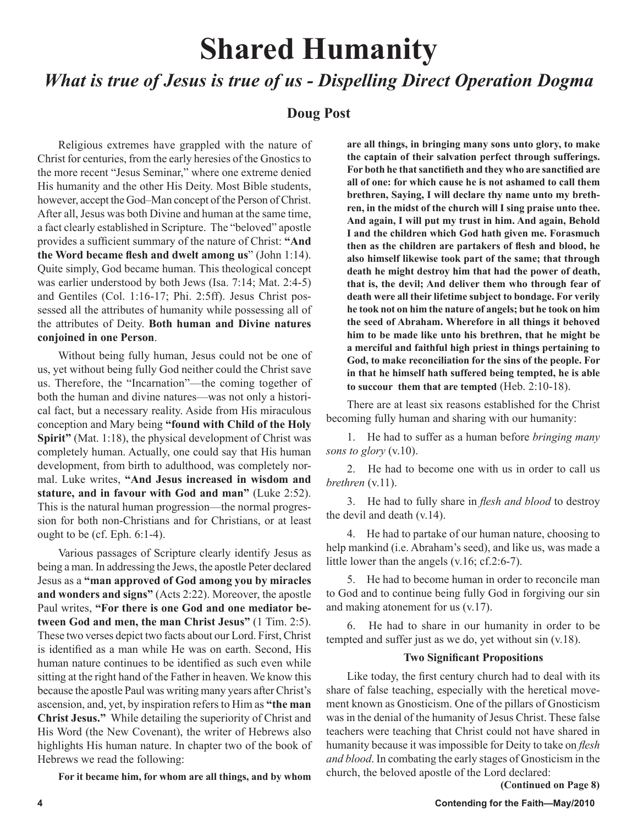# **Shared Humanity**

# *What is true of Jesus is true of us - Dispelling Direct Operation Dogma*

# **Doug Post**

Religious extremes have grappled with the nature of Christ for centuries, from the early heresies of the Gnostics to the more recent "Jesus Seminar," where one extreme denied His humanity and the other His Deity. Most Bible students, however, accept the God–Man concept of the Person of Christ. After all, Jesus was both Divine and human at the same time, a fact clearly established in Scripture. The "beloved" apostle provides a sufficient summary of the nature of Christ: **"And the Word became flesh and dwelt among us**" (John 1:14). Quite simply, God became human. This theological concept was earlier understood by both Jews (Isa. 7:14; Mat. 2:4-5) and Gentiles (Col. 1:16-17; Phi. 2:5ff). Jesus Christ possessed all the attributes of humanity while possessing all of the attributes of Deity. **Both human and Divine natures conjoined in one Person**.

Without being fully human, Jesus could not be one of us, yet without being fully God neither could the Christ save us. Therefore, the "Incarnation"—the coming together of both the human and divine natures—was not only a historical fact, but a necessary reality. Aside from His miraculous conception and Mary being **"found with Child of the Holy Spirit"** (Mat. 1:18), the physical development of Christ was completely human. Actually, one could say that His human development, from birth to adulthood, was completely normal. Luke writes, **"And Jesus increased in wisdom and stature, and in favour with God and man"** (Luke 2:52). This is the natural human progression—the normal progression for both non-Christians and for Christians, or at least ought to be (cf. Eph. 6:1-4).

Various passages of Scripture clearly identify Jesus as being a man. In addressing the Jews, the apostle Peter declared Jesus as a **"man approved of God among you by miracles and wonders and signs"** (Acts 2:22). Moreover, the apostle Paul writes, **"For there is one God and one mediator between God and men, the man Christ Jesus"** (1 Tim. 2:5). These two verses depict two facts about our Lord. First, Christ is identified as a man while He was on earth. Second, His human nature continues to be identified as such even while sitting at the right hand of the Father in heaven. We know this because the apostle Paul was writing many years after Christ's ascension, and, yet, by inspiration refers to Him as **"the man Christ Jesus."** While detailing the superiority of Christ and His Word (the New Covenant), the writer of Hebrews also highlights His human nature. In chapter two of the book of Hebrews we read the following:

**For it became him, for whom are all things, and by whom** 

**are all things, in bringing many sons unto glory, to make the captain of their salvation perfect through sufferings. For both he that sanctifieth and they who are sanctified are all of one: for which cause he is not ashamed to call them brethren, Saying, I will declare thy name unto my brethren, in the midst of the church will I sing praise unto thee. And again, I will put my trust in him. And again, Behold I and the children which God hath given me. Forasmuch then as the children are partakers of flesh and blood, he also himself likewise took part of the same; that through death he might destroy him that had the power of death, that is, the devil; And deliver them who through fear of death were all their lifetime subject to bondage. For verily he took not on him the nature of angels; but he took on him the seed of Abraham. Wherefore in all things it behoved him to be made like unto his brethren, that he might be a merciful and faithful high priest in things pertaining to God, to make reconciliation for the sins of the people. For in that he himself hath suffered being tempted, he is able to succour them that are tempted** (Heb. 2:10-18).

There are at least six reasons established for the Christ becoming fully human and sharing with our humanity:

1. He had to suffer as a human before *bringing many sons to glory* (v.10).

2. He had to become one with us in order to call us *brethren* (v.11).

3. He had to fully share in *flesh and blood* to destroy the devil and death (v.14).

4. He had to partake of our human nature, choosing to help mankind (i.e. Abraham's seed), and like us, was made a little lower than the angels (v.16; cf.2:6-7).

5. He had to become human in order to reconcile man to God and to continue being fully God in forgiving our sin and making atonement for us (v.17).

6. He had to share in our humanity in order to be tempted and suffer just as we do, yet without sin (v.18).

# **Two Significant Propositions**

Like today, the first century church had to deal with its share of false teaching, especially with the heretical movement known as Gnosticism. One of the pillars of Gnosticism was in the denial of the humanity of Jesus Christ. These false teachers were teaching that Christ could not have shared in humanity because it was impossible for Deity to take on *flesh and blood*. In combating the early stages of Gnosticism in the church, the beloved apostle of the Lord declared:

 **(Continued on Page 8)**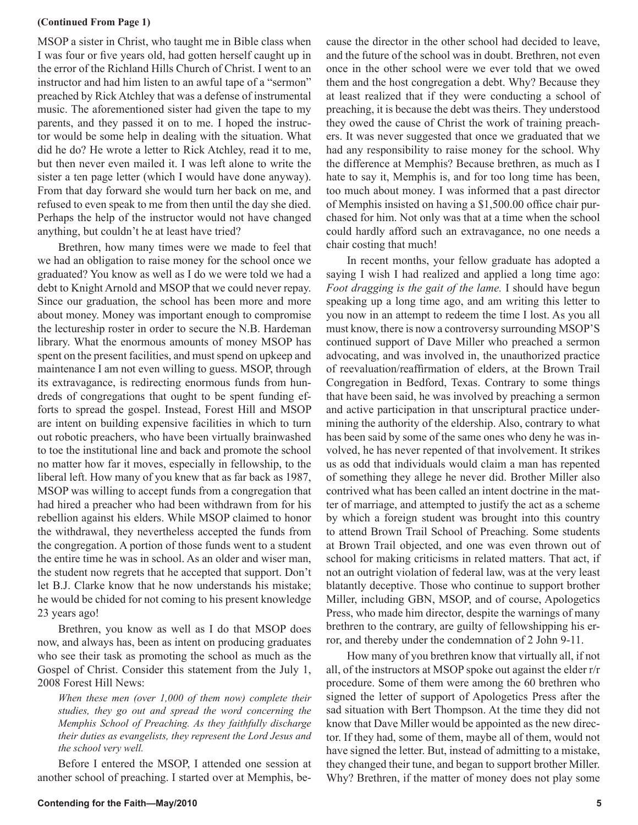#### **(Continued From Page 1)**

MSOP a sister in Christ, who taught me in Bible class when I was four or five years old, had gotten herself caught up in the error of the Richland Hills Church of Christ. I went to an instructor and had him listen to an awful tape of a "sermon" preached by Rick Atchley that was a defense of instrumental music. The aforementioned sister had given the tape to my parents, and they passed it on to me. I hoped the instructor would be some help in dealing with the situation. What did he do? He wrote a letter to Rick Atchley, read it to me, but then never even mailed it. I was left alone to write the sister a ten page letter (which I would have done anyway). From that day forward she would turn her back on me, and refused to even speak to me from then until the day she died. Perhaps the help of the instructor would not have changed anything, but couldn't he at least have tried?

Brethren, how many times were we made to feel that we had an obligation to raise money for the school once we graduated? You know as well as I do we were told we had a debt to Knight Arnold and MSOP that we could never repay. Since our graduation, the school has been more and more about money. Money was important enough to compromise the lectureship roster in order to secure the N.B. Hardeman library. What the enormous amounts of money MSOP has spent on the present facilities, and must spend on upkeep and maintenance I am not even willing to guess. MSOP, through its extravagance, is redirecting enormous funds from hundreds of congregations that ought to be spent funding efforts to spread the gospel. Instead, Forest Hill and MSOP are intent on building expensive facilities in which to turn out robotic preachers, who have been virtually brainwashed to toe the institutional line and back and promote the school no matter how far it moves, especially in fellowship, to the liberal left. How many of you knew that as far back as 1987, MSOP was willing to accept funds from a congregation that had hired a preacher who had been withdrawn from for his rebellion against his elders. While MSOP claimed to honor the withdrawal, they nevertheless accepted the funds from the congregation. A portion of those funds went to a student the entire time he was in school. As an older and wiser man, the student now regrets that he accepted that support. Don't let B.J. Clarke know that he now understands his mistake; he would be chided for not coming to his present knowledge 23 years ago!

Brethren, you know as well as I do that MSOP does now, and always has, been as intent on producing graduates who see their task as promoting the school as much as the Gospel of Christ. Consider this statement from the July 1, 2008 Forest Hill News:

*When these men (over 1,000 of them now) complete their studies, they go out and spread the word concerning the Memphis School of Preaching. As they faithfully discharge their duties as evangelists, they represent the Lord Jesus and the school very well.*

Before I entered the MSOP, I attended one session at another school of preaching. I started over at Memphis, because the director in the other school had decided to leave, and the future of the school was in doubt. Brethren, not even once in the other school were we ever told that we owed them and the host congregation a debt. Why? Because they at least realized that if they were conducting a school of preaching, it is because the debt was theirs. They understood they owed the cause of Christ the work of training preachers. It was never suggested that once we graduated that we had any responsibility to raise money for the school. Why the difference at Memphis? Because brethren, as much as I hate to say it, Memphis is, and for too long time has been, too much about money. I was informed that a past director of Memphis insisted on having a \$1,500.00 office chair purchased for him. Not only was that at a time when the school could hardly afford such an extravagance, no one needs a chair costing that much!

In recent months, your fellow graduate has adopted a saying I wish I had realized and applied a long time ago: *Foot dragging is the gait of the lame.* I should have begun speaking up a long time ago, and am writing this letter to you now in an attempt to redeem the time I lost. As you all must know, there is now a controversy surrounding MSOP'S continued support of Dave Miller who preached a sermon advocating, and was involved in, the unauthorized practice of reevaluation/reaffirmation of elders, at the Brown Trail Congregation in Bedford, Texas. Contrary to some things that have been said, he was involved by preaching a sermon and active participation in that unscriptural practice undermining the authority of the eldership. Also, contrary to what has been said by some of the same ones who deny he was involved, he has never repented of that involvement. It strikes us as odd that individuals would claim a man has repented of something they allege he never did. Brother Miller also contrived what has been called an intent doctrine in the matter of marriage, and attempted to justify the act as a scheme by which a foreign student was brought into this country to attend Brown Trail School of Preaching. Some students at Brown Trail objected, and one was even thrown out of school for making criticisms in related matters. That act, if not an outright violation of federal law, was at the very least blatantly deceptive. Those who continue to support brother Miller, including GBN, MSOP, and of course, Apologetics Press, who made him director, despite the warnings of many brethren to the contrary, are guilty of fellowshipping his error, and thereby under the condemnation of 2 John 9-11.

How many of you brethren know that virtually all, if not all, of the instructors at MSOP spoke out against the elder r/r procedure. Some of them were among the 60 brethren who signed the letter of support of Apologetics Press after the sad situation with Bert Thompson. At the time they did not know that Dave Miller would be appointed as the new director. If they had, some of them, maybe all of them, would not have signed the letter. But, instead of admitting to a mistake, they changed their tune, and began to support brother Miller. Why? Brethren, if the matter of money does not play some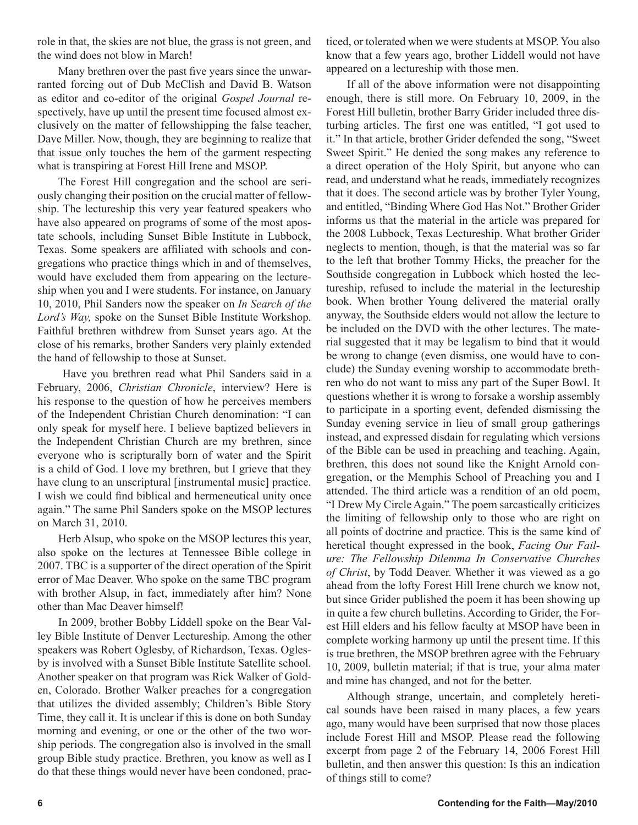role in that, the skies are not blue, the grass is not green, and the wind does not blow in March!

Many brethren over the past five years since the unwarranted forcing out of Dub McClish and David B. Watson as editor and co-editor of the original *Gospel Journal* respectively, have up until the present time focused almost exclusively on the matter of fellowshipping the false teacher, Dave Miller. Now, though, they are beginning to realize that that issue only touches the hem of the garment respecting what is transpiring at Forest Hill Irene and MSOP.

The Forest Hill congregation and the school are seriously changing their position on the crucial matter of fellowship. The lectureship this very year featured speakers who have also appeared on programs of some of the most apostate schools, including Sunset Bible Institute in Lubbock, Texas. Some speakers are affiliated with schools and congregations who practice things which in and of themselves, would have excluded them from appearing on the lectureship when you and I were students. For instance, on January 10, 2010, Phil Sanders now the speaker on *In Search of the Lord's Way,* spoke on the Sunset Bible Institute Workshop. Faithful brethren withdrew from Sunset years ago. At the close of his remarks, brother Sanders very plainly extended the hand of fellowship to those at Sunset.

 Have you brethren read what Phil Sanders said in a February, 2006, *Christian Chronicle*, interview? Here is his response to the question of how he perceives members of the Independent Christian Church denomination: "I can only speak for myself here. I believe baptized believers in the Independent Christian Church are my brethren, since everyone who is scripturally born of water and the Spirit is a child of God. I love my brethren, but I grieve that they have clung to an unscriptural [instrumental music] practice. I wish we could find biblical and hermeneutical unity once again." The same Phil Sanders spoke on the MSOP lectures on March 31, 2010.

Herb Alsup, who spoke on the MSOP lectures this year, also spoke on the lectures at Tennessee Bible college in 2007. TBC is a supporter of the direct operation of the Spirit error of Mac Deaver. Who spoke on the same TBC program with brother Alsup, in fact, immediately after him? None other than Mac Deaver himself!

In 2009, brother Bobby Liddell spoke on the Bear Valley Bible Institute of Denver Lectureship. Among the other speakers was Robert Oglesby, of Richardson, Texas. Oglesby is involved with a Sunset Bible Institute Satellite school. Another speaker on that program was Rick Walker of Golden, Colorado. Brother Walker preaches for a congregation that utilizes the divided assembly; Children's Bible Story Time, they call it. It is unclear if this is done on both Sunday morning and evening, or one or the other of the two worship periods. The congregation also is involved in the small group Bible study practice. Brethren, you know as well as I do that these things would never have been condoned, practiced, or tolerated when we were students at MSOP. You also know that a few years ago, brother Liddell would not have appeared on a lectureship with those men.

If all of the above information were not disappointing enough, there is still more. On February 10, 2009, in the Forest Hill bulletin, brother Barry Grider included three disturbing articles. The first one was entitled, "I got used to it." In that article, brother Grider defended the song, "Sweet Sweet Spirit." He denied the song makes any reference to a direct operation of the Holy Spirit, but anyone who can read, and understand what he reads, immediately recognizes that it does. The second article was by brother Tyler Young, and entitled, "Binding Where God Has Not." Brother Grider informs us that the material in the article was prepared for the 2008 Lubbock, Texas Lectureship. What brother Grider neglects to mention, though, is that the material was so far to the left that brother Tommy Hicks, the preacher for the Southside congregation in Lubbock which hosted the lectureship, refused to include the material in the lectureship book. When brother Young delivered the material orally anyway, the Southside elders would not allow the lecture to be included on the DVD with the other lectures. The material suggested that it may be legalism to bind that it would be wrong to change (even dismiss, one would have to conclude) the Sunday evening worship to accommodate brethren who do not want to miss any part of the Super Bowl. It questions whether it is wrong to forsake a worship assembly to participate in a sporting event, defended dismissing the Sunday evening service in lieu of small group gatherings instead, and expressed disdain for regulating which versions of the Bible can be used in preaching and teaching. Again, brethren, this does not sound like the Knight Arnold congregation, or the Memphis School of Preaching you and I attended. The third article was a rendition of an old poem, "I Drew My Circle Again." The poem sarcastically criticizes the limiting of fellowship only to those who are right on all points of doctrine and practice. This is the same kind of heretical thought expressed in the book, *Facing Our Failure: The Fellowship Dilemma In Conservative Churches of Christ*, by Todd Deaver. Whether it was viewed as a go ahead from the lofty Forest Hill Irene church we know not, but since Grider published the poem it has been showing up in quite a few church bulletins. According to Grider, the Forest Hill elders and his fellow faculty at MSOP have been in complete working harmony up until the present time. If this is true brethren, the MSOP brethren agree with the February 10, 2009, bulletin material; if that is true, your alma mater and mine has changed, and not for the better.

Although strange, uncertain, and completely heretical sounds have been raised in many places, a few years ago, many would have been surprised that now those places include Forest Hill and MSOP. Please read the following excerpt from page 2 of the February 14, 2006 Forest Hill bulletin, and then answer this question: Is this an indication of things still to come?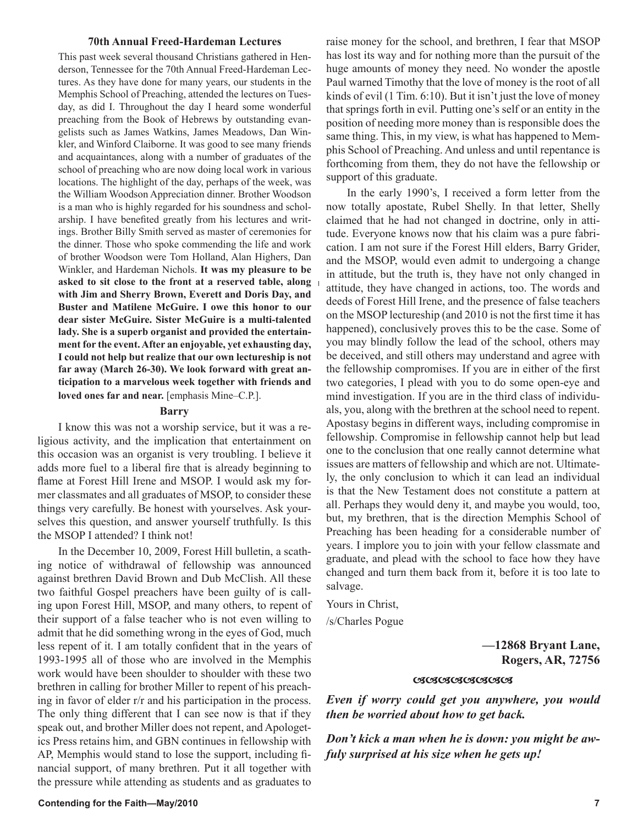#### **70th Annual Freed-Hardeman Lectures**

This past week several thousand Christians gathered in Henderson, Tennessee for the 70th Annual Freed-Hardeman Lectures. As they have done for many years, our students in the Memphis School of Preaching, attended the lectures on Tuesday, as did I. Throughout the day I heard some wonderful preaching from the Book of Hebrews by outstanding evangelists such as James Watkins, James Meadows, Dan Winkler, and Winford Claiborne. It was good to see many friends and acquaintances, along with a number of graduates of the school of preaching who are now doing local work in various locations. The highlight of the day, perhaps of the week, was the William Woodson Appreciation dinner. Brother Woodson is a man who is highly regarded for his soundness and scholarship. I have benefited greatly from his lectures and writings. Brother Billy Smith served as master of ceremonies for the dinner. Those who spoke commending the life and work of brother Woodson were Tom Holland, Alan Highers, Dan Winkler, and Hardeman Nichols. **It was my pleasure to be asked to sit close to the front at a reserved table, along with Jim and Sherry Brown, Everett and Doris Day, and Buster and Matilene McGuire. I owe this honor to our dear sister McGuire. Sister McGuire is a multi-talented lady. She is a superb organist and provided the entertainment for the event. After an enjoyable, yet exhausting day, I could not help but realize that our own lectureship is not far away (March 26-30). We look forward with great anticipation to a marvelous week together with friends and loved ones far and near.** [emphasis Mine–C.P.].

## **Barry**

I know this was not a worship service, but it was a religious activity, and the implication that entertainment on this occasion was an organist is very troubling. I believe it adds more fuel to a liberal fire that is already beginning to flame at Forest Hill Irene and MSOP. I would ask my former classmates and all graduates of MSOP, to consider these things very carefully. Be honest with yourselves. Ask yourselves this question, and answer yourself truthfully. Is this the MSOP I attended? I think not!

In the December 10, 2009, Forest Hill bulletin, a scathing notice of withdrawal of fellowship was announced against brethren David Brown and Dub McClish. All these two faithful Gospel preachers have been guilty of is calling upon Forest Hill, MSOP, and many others, to repent of their support of a false teacher who is not even willing to admit that he did something wrong in the eyes of God, much less repent of it. I am totally confident that in the years of 1993-1995 all of those who are involved in the Memphis work would have been shoulder to shoulder with these two brethren in calling for brother Miller to repent of his preaching in favor of elder r/r and his participation in the process. The only thing different that I can see now is that if they speak out, and brother Miller does not repent, and Apologetics Press retains him, and GBN continues in fellowship with AP, Memphis would stand to lose the support, including financial support, of many brethren. Put it all together with the pressure while attending as students and as graduates to

raise money for the school, and brethren, I fear that MSOP has lost its way and for nothing more than the pursuit of the huge amounts of money they need. No wonder the apostle Paul warned Timothy that the love of money is the root of all kinds of evil (1 Tim. 6:10). But it isn't just the love of money that springs forth in evil. Putting one's self or an entity in the position of needing more money than is responsible does the same thing. This, in my view, is what has happened to Memphis School of Preaching. And unless and until repentance is forthcoming from them, they do not have the fellowship or support of this graduate.

In the early 1990's, I received a form letter from the now totally apostate, Rubel Shelly. In that letter, Shelly claimed that he had not changed in doctrine, only in attitude. Everyone knows now that his claim was a pure fabrication. I am not sure if the Forest Hill elders, Barry Grider, and the MSOP, would even admit to undergoing a change in attitude, but the truth is, they have not only changed in attitude, they have changed in actions, too. The words and deeds of Forest Hill Irene, and the presence of false teachers on the MSOP lectureship (and 2010 is not the first time it has happened), conclusively proves this to be the case. Some of you may blindly follow the lead of the school, others may be deceived, and still others may understand and agree with the fellowship compromises. If you are in either of the first two categories, I plead with you to do some open-eye and mind investigation. If you are in the third class of individuals, you, along with the brethren at the school need to repent. Apostasy begins in different ways, including compromise in fellowship. Compromise in fellowship cannot help but lead one to the conclusion that one really cannot determine what issues are matters of fellowship and which are not. Ultimately, the only conclusion to which it can lead an individual is that the New Testament does not constitute a pattern at all. Perhaps they would deny it, and maybe you would, too, but, my brethren, that is the direction Memphis School of Preaching has been heading for a considerable number of years. I implore you to join with your fellow classmate and graduate, and plead with the school to face how they have changed and turn them back from it, before it is too late to salvage.

Yours in Christ,

/s/Charles Pogue

**—12868 Bryant Lane, Rogers, AR, 72756**

#### **GIGGGGGGGGGGG**

*Even if worry could get you anywhere, you would then be worried about how to get back.*

*Don't kick a man when he is down: you might be awfuly surprised at his size when he gets up!*

#### **Contending for the Faith—May/2010 7**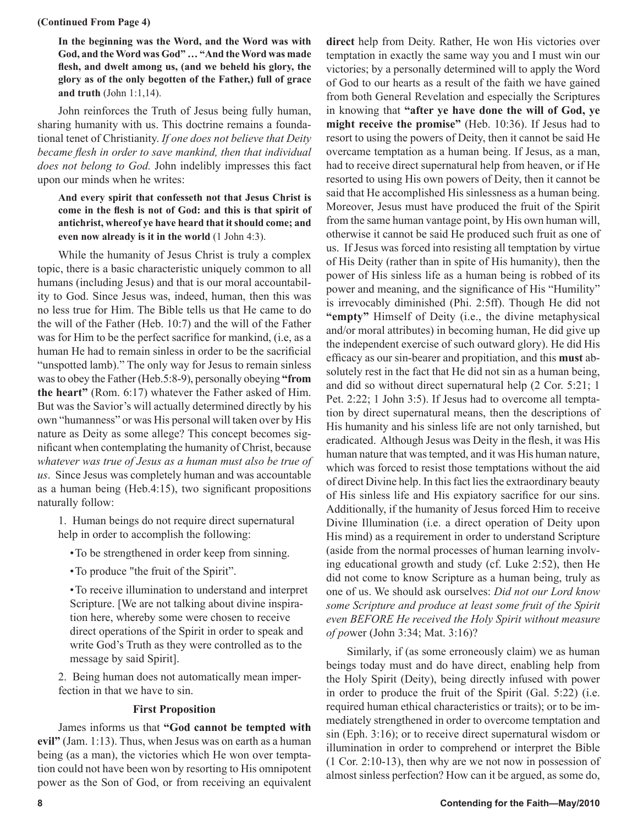#### **(Continued From Page 4)**

**In the beginning was the Word, and the Word was with God, and the Word was God" … "And the Word was made flesh, and dwelt among us, (and we beheld his glory, the glory as of the only begotten of the Father,) full of grace and truth** (John 1:1,14).

John reinforces the Truth of Jesus being fully human, sharing humanity with us. This doctrine remains a foundational tenet of Christianity. *If one does not believe that Deity became flesh in order to save mankind, then that individual does not belong to God.* John indelibly impresses this fact upon our minds when he writes:

**And every spirit that confesseth not that Jesus Christ is come in the flesh is not of God: and this is that spirit of antichrist, whereof ye have heard that it should come; and even now already is it in the world** (1 John 4:3).

While the humanity of Jesus Christ is truly a complex topic, there is a basic characteristic uniquely common to all humans (including Jesus) and that is our moral accountability to God. Since Jesus was, indeed, human, then this was no less true for Him. The Bible tells us that He came to do the will of the Father (Heb. 10:7) and the will of the Father was for Him to be the perfect sacrifice for mankind, (i.e, as a human He had to remain sinless in order to be the sacrificial "unspotted lamb)." The only way for Jesus to remain sinless was to obey the Father (Heb.5:8-9), personally obeying **"from the heart"** (Rom. 6:17) whatever the Father asked of Him. But was the Savior's will actually determined directly by his own "humanness" or was His personal will taken over by His nature as Deity as some allege? This concept becomes significant when contemplating the humanity of Christ, because *whatever was true of Jesus as a human must also be true of us*. Since Jesus was completely human and was accountable as a human being (Heb.4:15), two significant propositions naturally follow:

1. Human beings do not require direct supernatural help in order to accomplish the following:

- To be strengthened in order keep from sinning.
- To produce "the fruit of the Spirit".

• To receive illumination to understand and interpret Scripture. [We are not talking about divine inspiration here, whereby some were chosen to receive direct operations of the Spirit in order to speak and write God's Truth as they were controlled as to the message by said Spirit].

2. Being human does not automatically mean imperfection in that we have to sin.

## **First Proposition**

James informs us that **"God cannot be tempted with evil"** (Jam. 1:13). Thus, when Jesus was on earth as a human being (as a man), the victories which He won over temptation could not have been won by resorting to His omnipotent power as the Son of God, or from receiving an equivalent **direct** help from Deity. Rather, He won His victories over temptation in exactly the same way you and I must win our victories; by a personally determined will to apply the Word of God to our hearts as a result of the faith we have gained from both General Revelation and especially the Scriptures in knowing that **"after ye have done the will of God, ye might receive the promise"** (Heb. 10:36). If Jesus had to resort to using the powers of Deity, then it cannot be said He overcame temptation as a human being. If Jesus, as a man, had to receive direct supernatural help from heaven, or if He resorted to using His own powers of Deity, then it cannot be said that He accomplished His sinlessness as a human being. Moreover, Jesus must have produced the fruit of the Spirit from the same human vantage point, by His own human will, otherwise it cannot be said He produced such fruit as one of us. If Jesus was forced into resisting all temptation by virtue of His Deity (rather than in spite of His humanity), then the power of His sinless life as a human being is robbed of its power and meaning, and the significance of His "Humility" is irrevocably diminished (Phi. 2:5ff). Though He did not **"empty"** Himself of Deity (i.e., the divine metaphysical and/or moral attributes) in becoming human, He did give up the independent exercise of such outward glory). He did His efficacy as our sin-bearer and propitiation, and this **must** absolutely rest in the fact that He did not sin as a human being, and did so without direct supernatural help (2 Cor. 5:21; 1 Pet. 2:22; 1 John 3:5). If Jesus had to overcome all temptation by direct supernatural means, then the descriptions of His humanity and his sinless life are not only tarnished, but eradicated. Although Jesus was Deity in the flesh, it was His human nature that was tempted, and it was His human nature, which was forced to resist those temptations without the aid of direct Divine help. In this fact lies the extraordinary beauty of His sinless life and His expiatory sacrifice for our sins. Additionally, if the humanity of Jesus forced Him to receive Divine Illumination (i.e. a direct operation of Deity upon His mind) as a requirement in order to understand Scripture (aside from the normal processes of human learning involving educational growth and study (cf. Luke 2:52), then He did not come to know Scripture as a human being, truly as one of us. We should ask ourselves: *Did not our Lord know some Scripture and produce at least some fruit of the Spirit even BEFORE He received the Holy Spirit without measure of po*wer (John 3:34; Mat. 3:16)?

Similarly, if (as some erroneously claim) we as human beings today must and do have direct, enabling help from the Holy Spirit (Deity), being directly infused with power in order to produce the fruit of the Spirit (Gal. 5:22) (i.e. required human ethical characteristics or traits); or to be immediately strengthened in order to overcome temptation and sin (Eph. 3:16); or to receive direct supernatural wisdom or illumination in order to comprehend or interpret the Bible (1 Cor. 2:10-13), then why are we not now in possession of almost sinless perfection? How can it be argued, as some do,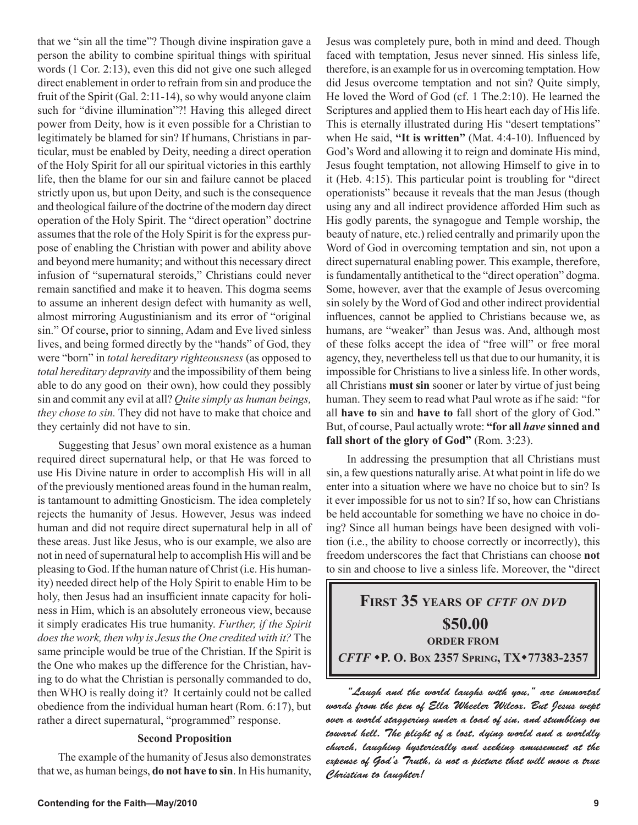that we "sin all the time"? Though divine inspiration gave a person the ability to combine spiritual things with spiritual words (1 Cor. 2:13), even this did not give one such alleged direct enablement in order to refrain from sin and produce the fruit of the Spirit (Gal. 2:11-14), so why would anyone claim such for "divine illumination"?! Having this alleged direct power from Deity, how is it even possible for a Christian to legitimately be blamed for sin? If humans, Christians in particular, must be enabled by Deity, needing a direct operation of the Holy Spirit for all our spiritual victories in this earthly life, then the blame for our sin and failure cannot be placed strictly upon us, but upon Deity, and such is the consequence and theological failure of the doctrine of the modern day direct operation of the Holy Spirit. The "direct operation" doctrine assumes that the role of the Holy Spirit is for the express purpose of enabling the Christian with power and ability above and beyond mere humanity; and without this necessary direct infusion of "supernatural steroids," Christians could never remain sanctified and make it to heaven. This dogma seems to assume an inherent design defect with humanity as well, almost mirroring Augustinianism and its error of "original sin." Of course, prior to sinning, Adam and Eve lived sinless lives, and being formed directly by the "hands" of God, they were "born" in *total hereditary righteousness* (as opposed to *total hereditary depravity* and the impossibility of them being able to do any good on their own), how could they possibly sin and commit any evil at all? *Quite simply as human beings, they chose to sin.* They did not have to make that choice and they certainly did not have to sin.

Suggesting that Jesus' own moral existence as a human required direct supernatural help, or that He was forced to use His Divine nature in order to accomplish His will in all of the previously mentioned areas found in the human realm, is tantamount to admitting Gnosticism. The idea completely rejects the humanity of Jesus. However, Jesus was indeed human and did not require direct supernatural help in all of these areas. Just like Jesus, who is our example, we also are not in need of supernatural help to accomplish His will and be pleasing to God. If the human nature of Christ (i.e. His humanity) needed direct help of the Holy Spirit to enable Him to be holy, then Jesus had an insufficient innate capacity for holiness in Him, which is an absolutely erroneous view, because it simply eradicates His true humanity. *Further, if the Spirit does the work, then why is Jesus the One credited with it?* The same principle would be true of the Christian. If the Spirit is the One who makes up the difference for the Christian, having to do what the Christian is personally commanded to do, then WHO is really doing it? It certainly could not be called obedience from the individual human heart (Rom. 6:17), but rather a direct supernatural, "programmed" response.

# **Second Proposition**

The example of the humanity of Jesus also demonstrates that we, as human beings, **do not have to sin**. In His humanity, Jesus was completely pure, both in mind and deed. Though faced with temptation, Jesus never sinned. His sinless life, therefore, is an example for us in overcoming temptation. How did Jesus overcome temptation and not sin? Quite simply, He loved the Word of God (cf. 1 The.2:10). He learned the Scriptures and applied them to His heart each day of His life. This is eternally illustrated during His "desert temptations" when He said, **"It is written"** (Mat. 4:4-10). Influenced by God's Word and allowing it to reign and dominate His mind, Jesus fought temptation, not allowing Himself to give in to it (Heb. 4:15). This particular point is troubling for "direct operationists" because it reveals that the man Jesus (though using any and all indirect providence afforded Him such as His godly parents, the synagogue and Temple worship, the beauty of nature, etc.) relied centrally and primarily upon the Word of God in overcoming temptation and sin, not upon a direct supernatural enabling power. This example, therefore, is fundamentally antithetical to the "direct operation" dogma. Some, however, aver that the example of Jesus overcoming sin solely by the Word of God and other indirect providential influences, cannot be applied to Christians because we, as humans, are "weaker" than Jesus was. And, although most of these folks accept the idea of "free will" or free moral agency, they, nevertheless tell us that due to our humanity, it is impossible for Christians to live a sinless life. In other words, all Christians **must sin** sooner or later by virtue of just being human. They seem to read what Paul wrote as if he said: "for all **have to** sin and **have to** fall short of the glory of God." But, of course, Paul actually wrote: **"for all** *have* **sinned and fall short of the glory of God"** (Rom. 3:23).

In addressing the presumption that all Christians must sin, a few questions naturally arise. At what point in life do we enter into a situation where we have no choice but to sin? Is it ever impossible for us not to sin? If so, how can Christians be held accountable for something we have no choice in doing? Since all human beings have been designed with volition (i.e., the ability to choose correctly or incorrectly), this freedom underscores the fact that Christians can choose **not** to sin and choose to live a sinless life. Moreover, the "direct

# **FIRST 35 YEARS OF** *CFTF ON DVD* **\$50.00 ORDER FROM** *CFTF* **P. O. BOX 2357 SPRING, TX77383-2357**

"Laugh and the world laughs with you," are immortal words from the pen of Ella Wheeler Wilcox. But Jesus wept over a world staggering under a load of sin, and stumbling on toward hell. The plight of a lost, dying world and a worldly church, laughing hysterically and seeking amusement at the expense of God's Truth, is not a picture that will move a true Christian to laughter!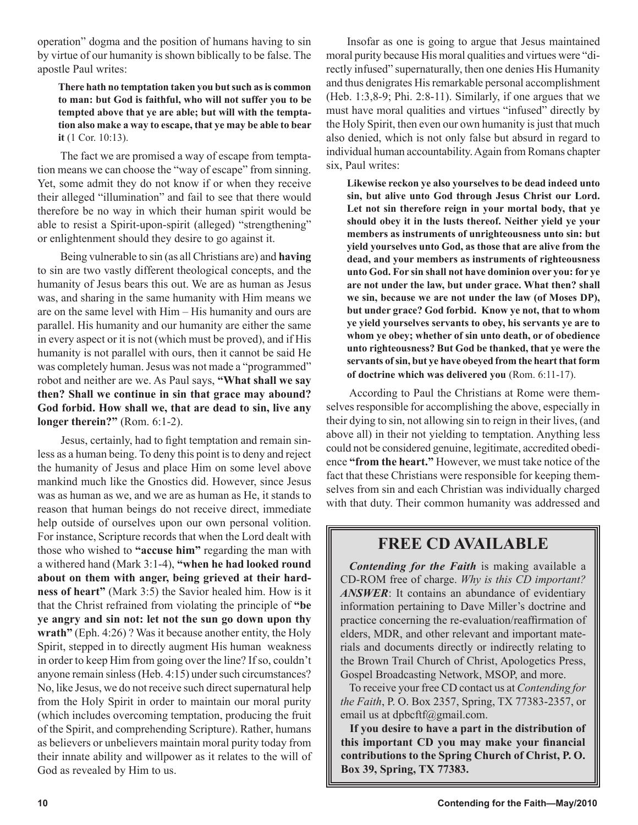operation" dogma and the position of humans having to sin by virtue of our humanity is shown biblically to be false. The apostle Paul writes:

**There hath no temptation taken you but such as is common to man: but God is faithful, who will not suffer you to be tempted above that ye are able; but will with the temptation also make a way to escape, that ye may be able to bear it** (1 Cor. 10:13).

 The fact we are promised a way of escape from temptation means we can choose the "way of escape" from sinning. Yet, some admit they do not know if or when they receive their alleged "illumination" and fail to see that there would therefore be no way in which their human spirit would be able to resist a Spirit-upon-spirit (alleged) "strengthening" or enlightenment should they desire to go against it.

 Being vulnerable to sin (as all Christians are) and **having** to sin are two vastly different theological concepts, and the humanity of Jesus bears this out. We are as human as Jesus was, and sharing in the same humanity with Him means we are on the same level with Him – His humanity and ours are parallel. His humanity and our humanity are either the same in every aspect or it is not (which must be proved), and if His humanity is not parallel with ours, then it cannot be said He was completely human. Jesus was not made a "programmed" robot and neither are we. As Paul says, **"What shall we say then? Shall we continue in sin that grace may abound? God forbid. How shall we, that are dead to sin, live any longer therein?"** (Rom. 6:1-2).

 Jesus, certainly, had to fight temptation and remain sinless as a human being. To deny this point is to deny and reject the humanity of Jesus and place Him on some level above mankind much like the Gnostics did. However, since Jesus was as human as we, and we are as human as He, it stands to reason that human beings do not receive direct, immediate help outside of ourselves upon our own personal volition. For instance, Scripture records that when the Lord dealt with those who wished to **"accuse him"** regarding the man with a withered hand (Mark 3:1-4), **"when he had looked round about on them with anger, being grieved at their hardness of heart"** (Mark 3:5) the Savior healed him. How is it that the Christ refrained from violating the principle of **"be ye angry and sin not: let not the sun go down upon thy wrath"** (Eph. 4:26) ? Was it because another entity, the Holy Spirit, stepped in to directly augment His human weakness in order to keep Him from going over the line? If so, couldn't anyone remain sinless (Heb. 4:15) under such circumstances? No, like Jesus, we do not receive such direct supernatural help from the Holy Spirit in order to maintain our moral purity (which includes overcoming temptation, producing the fruit of the Spirit, and comprehending Scripture). Rather, humans as believers or unbelievers maintain moral purity today from their innate ability and willpower as it relates to the will of God as revealed by Him to us.

Insofar as one is going to argue that Jesus maintained moral purity because His moral qualities and virtues were "directly infused" supernaturally, then one denies His Humanity and thus denigrates His remarkable personal accomplishment (Heb. 1:3,8-9; Phi. 2:8-11). Similarly, if one argues that we must have moral qualities and virtues "infused" directly by the Holy Spirit, then even our own humanity is just that much also denied, which is not only false but absurd in regard to individual human accountability. Again from Romans chapter six, Paul writes:

**Likewise reckon ye also yourselves to be dead indeed unto sin, but alive unto God through Jesus Christ our Lord. Let not sin therefore reign in your mortal body, that ye should obey it in the lusts thereof. Neither yield ye your members as instruments of unrighteousness unto sin: but yield yourselves unto God, as those that are alive from the dead, and your members as instruments of righteousness unto God. For sin shall not have dominion over you: for ye are not under the law, but under grace. What then? shall we sin, because we are not under the law (of Moses DP), but under grace? God forbid. Know ye not, that to whom ye yield yourselves servants to obey, his servants ye are to whom ye obey; whether of sin unto death, or of obedience unto righteousness? But God be thanked, that ye were the servants of sin, but ye have obeyed from the heart that form of doctrine which was delivered you** (Rom. 6:11-17).

 According to Paul the Christians at Rome were themselves responsible for accomplishing the above, especially in their dying to sin, not allowing sin to reign in their lives, (and above all) in their not yielding to temptation. Anything less could not be considered genuine, legitimate, accredited obedience **"from the heart."** However, we must take notice of the fact that these Christians were responsible for keeping themselves from sin and each Christian was individually charged with that duty. Their common humanity was addressed and

# **FREE CD AVAILABLE**

*Contending for the Faith* is making available a CD-ROM free of charge. *Why is this CD important? ANSWER*: It contains an abundance of evidentiary information pertaining to Dave Miller's doctrine and practice concerning the re-evaluation/reaffirmation of elders, MDR, and other relevant and important materials and documents directly or indirectly relating to the Brown Trail Church of Christ, Apologetics Press, Gospel Broadcasting Network, MSOP, and more.

To receive your free CD contact us at *Contending for the Faith*, P. O. Box 2357, Spring, TX 77383-2357, or email us at dpbcftf@gmail.com.

**If you desire to have a part in the distribution of this important CD you may make your financial contributions to the Spring Church of Christ, P. O. Box 39, Spring, TX 77383.**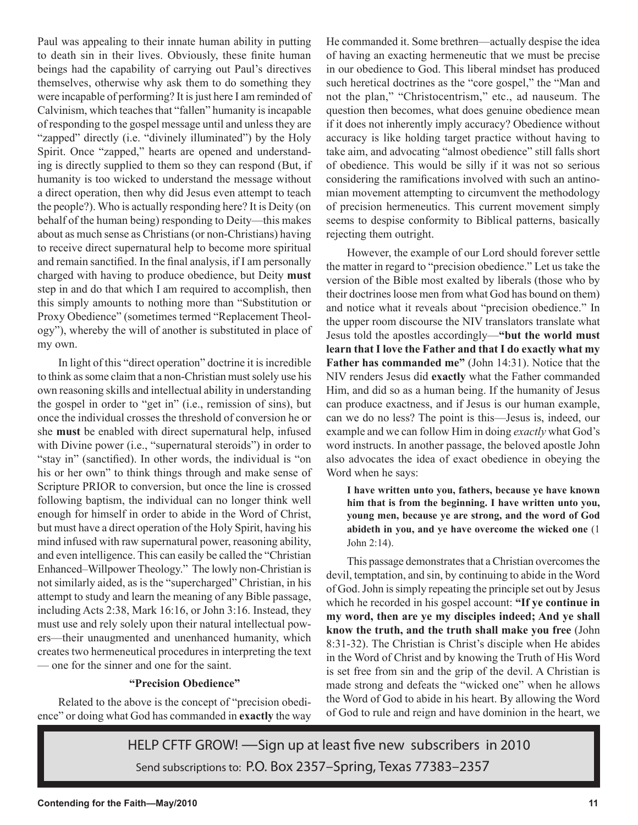Paul was appealing to their innate human ability in putting to death sin in their lives. Obviously, these finite human beings had the capability of carrying out Paul's directives themselves, otherwise why ask them to do something they were incapable of performing? It is just here I am reminded of Calvinism, which teaches that "fallen" humanity is incapable of responding to the gospel message until and unless they are "zapped" directly (i.e. "divinely illuminated") by the Holy Spirit. Once "zapped," hearts are opened and understanding is directly supplied to them so they can respond (But, if humanity is too wicked to understand the message without a direct operation, then why did Jesus even attempt to teach the people?). Who is actually responding here? It is Deity (on behalf of the human being) responding to Deity—this makes about as much sense as Christians (or non-Christians) having to receive direct supernatural help to become more spiritual and remain sanctified. In the final analysis, if I am personally charged with having to produce obedience, but Deity **must** step in and do that which I am required to accomplish, then this simply amounts to nothing more than "Substitution or Proxy Obedience" (sometimes termed "Replacement Theology"), whereby the will of another is substituted in place of my own.

In light of this "direct operation" doctrine it is incredible to think as some claim that a non-Christian must solely use his own reasoning skills and intellectual ability in understanding the gospel in order to "get in" (i.e., remission of sins), but once the individual crosses the threshold of conversion he or she **must** be enabled with direct supernatural help, infused with Divine power (i.e., "supernatural steroids") in order to "stay in" (sanctified). In other words, the individual is "on his or her own" to think things through and make sense of Scripture PRIOR to conversion, but once the line is crossed following baptism, the individual can no longer think well enough for himself in order to abide in the Word of Christ, but must have a direct operation of the Holy Spirit, having his mind infused with raw supernatural power, reasoning ability, and even intelligence. This can easily be called the "Christian Enhanced–Willpower Theology." The lowly non-Christian is not similarly aided, as is the "supercharged" Christian, in his attempt to study and learn the meaning of any Bible passage, including Acts 2:38, Mark 16:16, or John 3:16. Instead, they must use and rely solely upon their natural intellectual powers—their unaugmented and unenhanced humanity, which creates two hermeneutical procedures in interpreting the text — one for the sinner and one for the saint.

# **"Precision Obedience"**

Related to the above is the concept of "precision obedience" or doing what God has commanded in **exactly** the way He commanded it. Some brethren—actually despise the idea of having an exacting hermeneutic that we must be precise in our obedience to God. This liberal mindset has produced such heretical doctrines as the "core gospel," the "Man and not the plan," "Christocentrism," etc., ad nauseum. The question then becomes, what does genuine obedience mean if it does not inherently imply accuracy? Obedience without accuracy is like holding target practice without having to take aim, and advocating "almost obedience" still falls short of obedience. This would be silly if it was not so serious considering the ramifications involved with such an antinomian movement attempting to circumvent the methodology of precision hermeneutics. This current movement simply seems to despise conformity to Biblical patterns, basically rejecting them outright.

However, the example of our Lord should forever settle the matter in regard to "precision obedience." Let us take the version of the Bible most exalted by liberals (those who by their doctrines loose men from what God has bound on them) and notice what it reveals about "precision obedience." In the upper room discourse the NIV translators translate what Jesus told the apostles accordingly—**"but the world must learn that I love the Father and that I do exactly what my Father has commanded me"** (John 14:31). Notice that the NIV renders Jesus did **exactly** what the Father commanded Him, and did so as a human being. If the humanity of Jesus can produce exactness, and if Jesus is our human example, can we do no less? The point is this—Jesus is, indeed, our example and we can follow Him in doing *exactly* what God's word instructs. In another passage, the beloved apostle John also advocates the idea of exact obedience in obeying the Word when he says:

**I have written unto you, fathers, because ye have known him that is from the beginning. I have written unto you, young men, because ye are strong, and the word of God abideth in you, and ye have overcome the wicked one** (1 John 2:14).

This passage demonstrates that a Christian overcomes the devil, temptation, and sin, by continuing to abide in the Word of God. John is simply repeating the principle set out by Jesus which he recorded in his gospel account: **"If ye continue in my word, then are ye my disciples indeed; And ye shall know the truth, and the truth shall make you free** (John 8:31-32). The Christian is Christ's disciple when He abides in the Word of Christ and by knowing the Truth of His Word is set free from sin and the grip of the devil. A Christian is made strong and defeats the "wicked one" when he allows the Word of God to abide in his heart. By allowing the Word of God to rule and reign and have dominion in the heart, we

HELP CFTF GROW! —Sign up at least five new subscribers in 2010 Send subscriptions to: P.O. Box 2357–Spring, Texas 77383–2357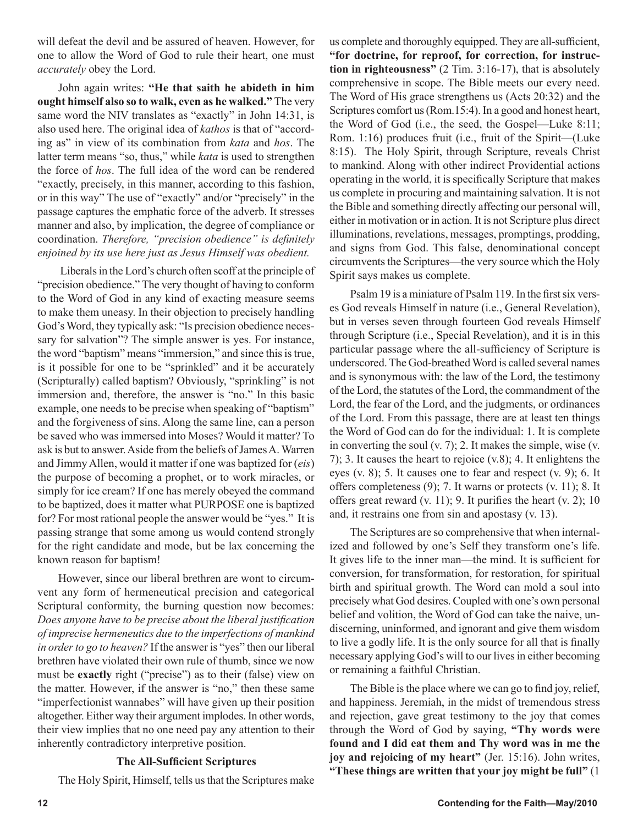will defeat the devil and be assured of heaven. However, for one to allow the Word of God to rule their heart, one must *accurately* obey the Lord.

John again writes: **"He that saith he abideth in him ought himself also so to walk, even as he walked."** The very same word the NIV translates as "exactly" in John 14:31, is also used here. The original idea of *kathos* is that of "according as" in view of its combination from *kata* and *hos*. The latter term means "so, thus," while *kata* is used to strengthen the force of *hos*. The full idea of the word can be rendered "exactly, precisely, in this manner, according to this fashion, or in this way" The use of "exactly" and/or "precisely" in the passage captures the emphatic force of the adverb. It stresses manner and also, by implication, the degree of compliance or coordination. *Therefore, "precision obedience" is definitely enjoined by its use here just as Jesus Himself was obedient.*

 Liberals in the Lord's church often scoff at the principle of "precision obedience." The very thought of having to conform to the Word of God in any kind of exacting measure seems to make them uneasy. In their objection to precisely handling God's Word, they typically ask: "Is precision obedience necessary for salvation"? The simple answer is yes. For instance, the word "baptism" means "immersion," and since this is true, is it possible for one to be "sprinkled" and it be accurately (Scripturally) called baptism? Obviously, "sprinkling" is not immersion and, therefore, the answer is "no." In this basic example, one needs to be precise when speaking of "baptism" and the forgiveness of sins. Along the same line, can a person be saved who was immersed into Moses? Would it matter? To ask is but to answer. Aside from the beliefs of James A. Warren and Jimmy Allen, would it matter if one was baptized for (*eis*) the purpose of becoming a prophet, or to work miracles, or simply for ice cream? If one has merely obeyed the command to be baptized, does it matter what PURPOSE one is baptized for? For most rational people the answer would be "yes." It is passing strange that some among us would contend strongly for the right candidate and mode, but be lax concerning the known reason for baptism!

However, since our liberal brethren are wont to circumvent any form of hermeneutical precision and categorical Scriptural conformity, the burning question now becomes: *Does anyone have to be precise about the liberal justification of imprecise hermeneutics due to the imperfections of mankind in order to go to heaven?* If the answer is "yes" then our liberal brethren have violated their own rule of thumb, since we now must be **exactly** right ("precise") as to their (false) view on the matter. However, if the answer is "no," then these same "imperfectionist wannabes" will have given up their position altogether. Either way their argument implodes. In other words, their view implies that no one need pay any attention to their inherently contradictory interpretive position.

# **The All-Sufficient Scriptures**

The Holy Spirit, Himself, tells us that the Scriptures make

us complete and thoroughly equipped. They are all-sufficient, **"for doctrine, for reproof, for correction, for instruction in righteousness"** (2 Tim. 3:16-17), that is absolutely comprehensive in scope. The Bible meets our every need. The Word of His grace strengthens us (Acts 20:32) and the Scriptures comfort us (Rom.15:4). In a good and honest heart, the Word of God (i.e., the seed, the Gospel—Luke 8:11; Rom. 1:16) produces fruit (i.e., fruit of the Spirit—(Luke 8:15). The Holy Spirit, through Scripture, reveals Christ to mankind. Along with other indirect Providential actions operating in the world, it is specifically Scripture that makes us complete in procuring and maintaining salvation. It is not the Bible and something directly affecting our personal will, either in motivation or in action. It is not Scripture plus direct illuminations, revelations, messages, promptings, prodding, and signs from God. This false, denominational concept circumvents the Scriptures—the very source which the Holy Spirit says makes us complete.

Psalm 19 is a miniature of Psalm 119. In the first six verses God reveals Himself in nature (i.e., General Revelation), but in verses seven through fourteen God reveals Himself through Scripture (i.e., Special Revelation), and it is in this particular passage where the all-sufficiency of Scripture is underscored. The God-breathed Word is called several names and is synonymous with: the law of the Lord, the testimony of the Lord, the statutes of the Lord, the commandment of the Lord, the fear of the Lord, and the judgments, or ordinances of the Lord. From this passage, there are at least ten things the Word of God can do for the individual: 1. It is complete in converting the soul (v. 7); 2. It makes the simple, wise (v. 7); 3. It causes the heart to rejoice (v.8); 4. It enlightens the eyes (v. 8); 5. It causes one to fear and respect (v. 9); 6. It offers completeness (9); 7. It warns or protects (v. 11); 8. It offers great reward  $(v. 11)$ ; 9. It purifies the heart  $(v. 2)$ ; 10 and, it restrains one from sin and apostasy (v. 13).

The Scriptures are so comprehensive that when internalized and followed by one's Self they transform one's life. It gives life to the inner man—the mind. It is sufficient for conversion, for transformation, for restoration, for spiritual birth and spiritual growth. The Word can mold a soul into precisely what God desires. Coupled with one's own personal belief and volition, the Word of God can take the naive, undiscerning, uninformed, and ignorant and give them wisdom to live a godly life. It is the only source for all that is finally necessary applying God's will to our lives in either becoming or remaining a faithful Christian.

The Bible is the place where we can go to find joy, relief, and happiness. Jeremiah, in the midst of tremendous stress and rejection, gave great testimony to the joy that comes through the Word of God by saying, **"Thy words were found and I did eat them and Thy word was in me the joy and rejoicing of my heart"** (Jer. 15:16). John writes, **"These things are written that your joy might be full"** (1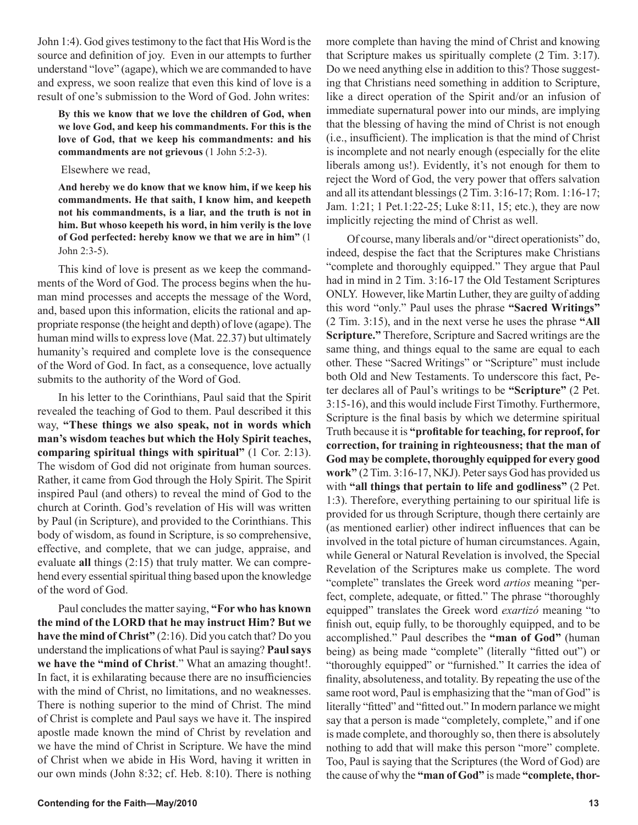John 1:4). God gives testimony to the fact that His Word is the source and definition of joy. Even in our attempts to further understand "love" (agape), which we are commanded to have and express, we soon realize that even this kind of love is a result of one's submission to the Word of God. John writes:

**By this we know that we love the children of God, when we love God, and keep his commandments. For this is the love of God, that we keep his commandments: and his commandments are not grievous** (1 John 5:2-3).

#### Elsewhere we read,

**And hereby we do know that we know him, if we keep his commandments. He that saith, I know him, and keepeth not his commandments, is a liar, and the truth is not in him. But whoso keepeth his word, in him verily is the love of God perfected: hereby know we that we are in him"** (1 John 2:3-5).

This kind of love is present as we keep the commandments of the Word of God. The process begins when the human mind processes and accepts the message of the Word, and, based upon this information, elicits the rational and appropriate response (the height and depth) of love (agape). The human mind wills to express love (Mat. 22.37) but ultimately humanity's required and complete love is the consequence of the Word of God. In fact, as a consequence, love actually submits to the authority of the Word of God.

In his letter to the Corinthians, Paul said that the Spirit revealed the teaching of God to them. Paul described it this way, **"These things we also speak, not in words which man's wisdom teaches but which the Holy Spirit teaches, comparing spiritual things with spiritual"** (1 Cor. 2:13). The wisdom of God did not originate from human sources. Rather, it came from God through the Holy Spirit. The Spirit inspired Paul (and others) to reveal the mind of God to the church at Corinth. God's revelation of His will was written by Paul (in Scripture), and provided to the Corinthians. This body of wisdom, as found in Scripture, is so comprehensive, effective, and complete, that we can judge, appraise, and evaluate **all** things (2:15) that truly matter. We can comprehend every essential spiritual thing based upon the knowledge of the word of God.

Paul concludes the matter saying, **"For who has known the mind of the LORD that he may instruct Him? But we have the mind of Christ"** (2:16). Did you catch that? Do you understand the implications of what Paul is saying? **Paul says we have the "mind of Christ**." What an amazing thought!. In fact, it is exhilarating because there are no insufficiencies with the mind of Christ, no limitations, and no weaknesses. There is nothing superior to the mind of Christ. The mind of Christ is complete and Paul says we have it. The inspired apostle made known the mind of Christ by revelation and we have the mind of Christ in Scripture. We have the mind of Christ when we abide in His Word, having it written in our own minds (John 8:32; cf. Heb. 8:10). There is nothing more complete than having the mind of Christ and knowing that Scripture makes us spiritually complete (2 Tim. 3:17). Do we need anything else in addition to this? Those suggesting that Christians need something in addition to Scripture, like a direct operation of the Spirit and/or an infusion of immediate supernatural power into our minds, are implying that the blessing of having the mind of Christ is not enough (i.e., insufficient). The implication is that the mind of Christ is incomplete and not nearly enough (especially for the elite liberals among us!). Evidently, it's not enough for them to reject the Word of God, the very power that offers salvation and all its attendant blessings (2 Tim. 3:16-17; Rom. 1:16-17; Jam. 1:21; 1 Pet.1:22-25; Luke 8:11, 15; etc.), they are now implicitly rejecting the mind of Christ as well.

Of course, many liberals and/or "direct operationists" do, indeed, despise the fact that the Scriptures make Christians "complete and thoroughly equipped." They argue that Paul had in mind in 2 Tim. 3:16-17 the Old Testament Scriptures ONLY. However, like Martin Luther, they are guilty of adding this word "only." Paul uses the phrase **"Sacred Writings"** (2 Tim. 3:15), and in the next verse he uses the phrase **"All Scripture."** Therefore, Scripture and Sacred writings are the same thing, and things equal to the same are equal to each other. These "Sacred Writings" or "Scripture" must include both Old and New Testaments. To underscore this fact, Peter declares all of Paul's writings to be **"Scripture"** (2 Pet. 3:15-16), and this would include First Timothy. Furthermore, Scripture is the final basis by which we determine spiritual Truth because it is **"profitable for teaching, for reproof, for correction, for training in righteousness; that the man of God may be complete, thoroughly equipped for every good work"** (2 Tim. 3:16-17, NKJ). Peter says God has provided us with **"all things that pertain to life and godliness"** (2 Pet. 1:3). Therefore, everything pertaining to our spiritual life is provided for us through Scripture, though there certainly are (as mentioned earlier) other indirect influences that can be involved in the total picture of human circumstances. Again, while General or Natural Revelation is involved, the Special Revelation of the Scriptures make us complete. The word "complete" translates the Greek word *artios* meaning "perfect, complete, adequate, or fitted." The phrase "thoroughly equipped" translates the Greek word *exartizó* meaning "to finish out, equip fully, to be thoroughly equipped, and to be accomplished." Paul describes the **"man of God"** (human being) as being made "complete" (literally "fitted out") or "thoroughly equipped" or "furnished." It carries the idea of finality, absoluteness, and totality. By repeating the use of the same root word, Paul is emphasizing that the "man of God" is literally "fitted" and "fitted out." In modern parlance we might say that a person is made "completely, complete," and if one is made complete, and thoroughly so, then there is absolutely nothing to add that will make this person "more" complete. Too, Paul is saying that the Scriptures (the Word of God) are the cause of why the **"man of God"** is made **"complete, thor-**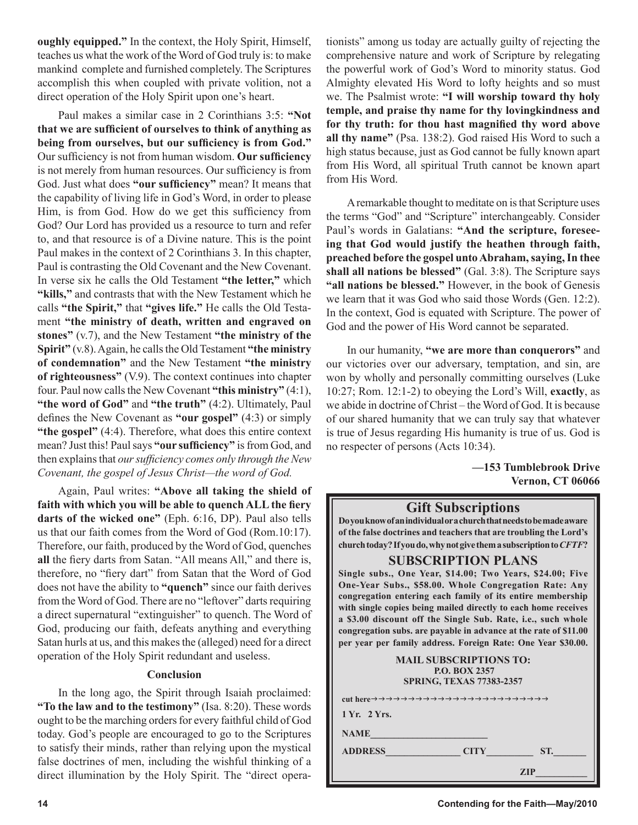**oughly equipped."** In the context, the Holy Spirit, Himself, teaches us what the work of the Word of God truly is: to make mankind complete and furnished completely. The Scriptures accomplish this when coupled with private volition, not a direct operation of the Holy Spirit upon one's heart.

Paul makes a similar case in 2 Corinthians 3:5: **"Not that we are sufficient of ourselves to think of anything as being from ourselves, but our sufficiency is from God."** Our sufficiency is not from human wisdom. **Our sufficiency** is not merely from human resources. Our sufficiency is from God. Just what does **"our sufficiency"** mean? It means that the capability of living life in God's Word, in order to please Him, is from God. How do we get this sufficiency from God? Our Lord has provided us a resource to turn and refer to, and that resource is of a Divine nature. This is the point Paul makes in the context of 2 Corinthians 3. In this chapter, Paul is contrasting the Old Covenant and the New Covenant. In verse six he calls the Old Testament **"the letter,"** which **"kills,"** and contrasts that with the New Testament which he calls **"the Spirit,"** that **"gives life."** He calls the Old Testament **"the ministry of death, written and engraved on stones"** (v.7), and the New Testament **"the ministry of the Spirit"** (v.8). Again, he calls the Old Testament **"the ministry of condemnation"** and the New Testament **"the ministry of righteousness"** (V.9). The context continues into chapter four. Paul now calls the New Covenant **"this ministry"** (4:1), **"the word of God"** and "the truth" (4:2). Ultimately, Paul defines the New Covenant as **"our gospel"** (4:3) or simply **"the gospel"** (4:4). Therefore, what does this entire context mean? Just this! Paul says **"our sufficiency"** is from God, and then explains that *our sufficiency comes only through the New Covenant, the gospel of Jesus Christ—the word of God.*

Again, Paul writes: **"Above all taking the shield of faith with which you will be able to quench ALL the fiery darts of the wicked one"** (Eph. 6:16, DP). Paul also tells us that our faith comes from the Word of God (Rom.10:17). Therefore, our faith, produced by the Word of God, quenches **all** the fiery darts from Satan. "All means All," and there is, therefore, no "fiery dart" from Satan that the Word of God does not have the ability to **"quench"** since our faith derives from the Word of God. There are no "leftover" darts requiring a direct supernatural "extinguisher" to quench. The Word of God, producing our faith, defeats anything and everything Satan hurls at us, and this makes the (alleged) need for a direct operation of the Holy Spirit redundant and useless.

## **Conclusion**

In the long ago, the Spirit through Isaiah proclaimed: **"To the law and to the testimony"** (Isa. 8:20). These words ought to be the marching orders for every faithful child of God today. God's people are encouraged to go to the Scriptures to satisfy their minds, rather than relying upon the mystical false doctrines of men, including the wishful thinking of a direct illumination by the Holy Spirit. The "direct operationists" among us today are actually guilty of rejecting the comprehensive nature and work of Scripture by relegating the powerful work of God's Word to minority status. God Almighty elevated His Word to lofty heights and so must we. The Psalmist wrote: **"I will worship toward thy holy temple, and praise thy name for thy lovingkindness and for thy truth: for thou hast magnified thy word above all thy name"** (Psa. 138:2). God raised His Word to such a high status because, just as God cannot be fully known apart from His Word, all spiritual Truth cannot be known apart from His Word.

A remarkable thought to meditate on is that Scripture uses the terms "God" and "Scripture" interchangeably. Consider Paul's words in Galatians: **"And the scripture, foreseeing that God would justify the heathen through faith, preached before the gospel unto Abraham, saying, In thee shall all nations be blessed"** (Gal. 3:8). The Scripture says **"all nations be blessed."** However, in the book of Genesis we learn that it was God who said those Words (Gen. 12:2). In the context, God is equated with Scripture. The power of God and the power of His Word cannot be separated.

In our humanity, **"we are more than conquerors"** and our victories over our adversary, temptation, and sin, are won by wholly and personally committing ourselves (Luke 10:27; Rom. 12:1-2) to obeying the Lord's Will, **exactly**, as we abide in doctrine of Christ – the Word of God. It is because of our shared humanity that we can truly say that whatever is true of Jesus regarding His humanity is true of us. God is no respecter of persons (Acts 10:34).

> **—153 Tumblebrook Drive Vernon, CT 06066**

### **Gift Subscriptions**

**Do you know of an individual or a church that needs to be made aware of the false doctrines and teachers that are troubling the Lord's church today? If you do, why not give them a subscription to** *CFTF***?**

## **SUBSCRIPTION PLANS**

**Single subs., One Year, \$14.00; Two Years, \$24.00; Five One-Year Subs., \$58.00. Whole Congregation Rate: Any congregation entering each family of its entire membership with single copies being mailed directly to each home receives a \$3.00 discount off the Single Sub. Rate, i.e., such whole congregation subs. are payable in advance at the rate of \$11.00 per year per family address. Foreign Rate: One Year \$30.00.**

| <b>MAIL SUBSCRIPTIONS TO:</b><br>P.O. BOX 2357<br><b>SPRING, TEXAS 77383-2357</b> |  |
|-----------------------------------------------------------------------------------|--|
|                                                                                   |  |
| 1 Yr. 2 Yrs.                                                                      |  |
| <b>NAME</b>                                                                       |  |
| ST.<br><b>ADDRESS</b><br><b>CITY</b>                                              |  |
| <b>ZIP</b>                                                                        |  |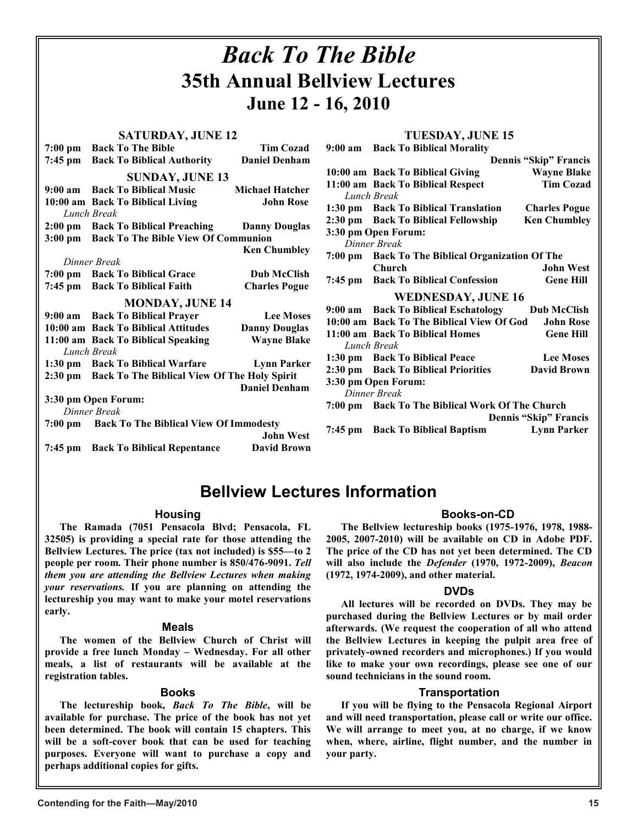#### *Back To The Bible* **35th Annual Bellview Lectures June 12 - 16, 2010 SATURDAY, JUNE 12 7:00 pm** Back To The Bible Tim Cozad<br>**7:45 pm** Back To Biblical Authority Daniel Denham **Back To Biblical Authority SUNDAY, JUNE 13 9:00 am Back To Biblical Music Michael Hatcher 10:00 am Back To Biblical Living John Rose**  *Lunch Break*  **2:00 pm Back To Biblical Preaching Danny Douglas 3:00 pm Back To The Bible View Of Communion Ken Chumbley**  *Dinner Break*  **7:00 pm Back To Biblical Grace Dub McClish 7:45 pm Back To Biblical Faith Charles Pogue MONDAY, JUNE 14 9:00 am Back To Biblical Prayer Lee Moses 10:00 am Back To Biblical Attitudes Danny Douglas 11:00 am Back To Biblical Speaking** *Lunch Break*  **1:30 pm Back To Biblical Warfare Lynn Parker 2:30 pm Back To The Biblical View Of The Holy Spirit Daniel Denham 3:30 pm Open Forum:**  *Dinner Break*  **7:00 pm Back To The Biblical View Of Immodesty John West 7:45 pm Back To Biblical Repentance TUESDAY, JUNE 15 9:00 am Back To Biblical Morality Dennis "Skip" Francis 10:00 am Back To Biblical Giving Wayne Blake 11:00 am Back To Biblical Respect** *Lunch Break*  **1:30 pm Back To Biblical Translation Charles Pogue**  2:30 pm Back To Biblical Fellowship Ken Chumbley **3:30 pm Open Forum:**  *Dinner Break*  **7:00 pm Back To The Biblical Organization Of The Church John West 7:45 pm Back To Biblical Confession Gene Hill WEDNESDAY, JUNE 16 9:00 am Back To Biblical Eschatology Dub McClish 10:00 am Back To The Biblical View Of God John Rose**  11:00 am Back To Biblical Homes Gene Hill *Lunch Break*  **1:30 pm Back To Biblical Peace Lee Moses 2:30 pm Back To Biblical Priorities David Brown 3:30 pm Open Forum:**  *Dinner Break*  **7:00 pm Back To The Biblical Work Of The Church Dennis "Skip" Francis 7:45 pm Back To Biblical Baptism**

# **Bellview Lectures Information**

# **Housing**

**The Ramada (7051 Pensacola Blvd; Pensacola, FL 32505) is providing a special rate for those attending the Bellview Lectures. The price (tax not included) is \$55—to 2 people per room. Their phone number is 850/476-9091.** *Tell them you are attending the Bellview Lectures when making your reservations.* **If you are planning on attending the lectureship you may want to make your motel reservations early.**

### **Meals**

**The women of the Bellview Church of Christ will provide a free lunch Monday – Wednesday. For all other meals, a list of restaurants will be available at the registration tables.**

## **Books**

**The lectureship book,** *Back To The Bible***, will be available for purchase. The price of the book has not yet been determined. The book will contain 15 chapters. This will be a soft-cover book that can be used for teaching purposes. Everyone will want to purchase a copy and perhaps additional copies for gifts.**

# **Books-on-CD**

**The Bellview lectureship books (1975-1976, 1978, 1988- 2005, 2007-2010) will be available on CD in Adobe PDF. The price of the CD has not yet been determined. The CD will also include the** *Defender* **(1970, 1972-2009),** *Beacon*  **(1972, 1974-2009), and other material.**

### **DVDs**

**All lectures will be recorded on DVDs. They may be purchased during the Bellview Lectures or by mail order afterwards. (We request the cooperation of all who attend the Bellview Lectures in keeping the pulpit area free of privately-owned recorders and microphones.) If you would like to make your own recordings, please see one of our sound technicians in the sound room.**

## **Transportation**

**If you will be flying to the Pensacola Regional Airport and will need transportation, please call or write our office. We will arrange to meet you, at no charge, if we know when, where, airline, flight number, and the number in your party.**